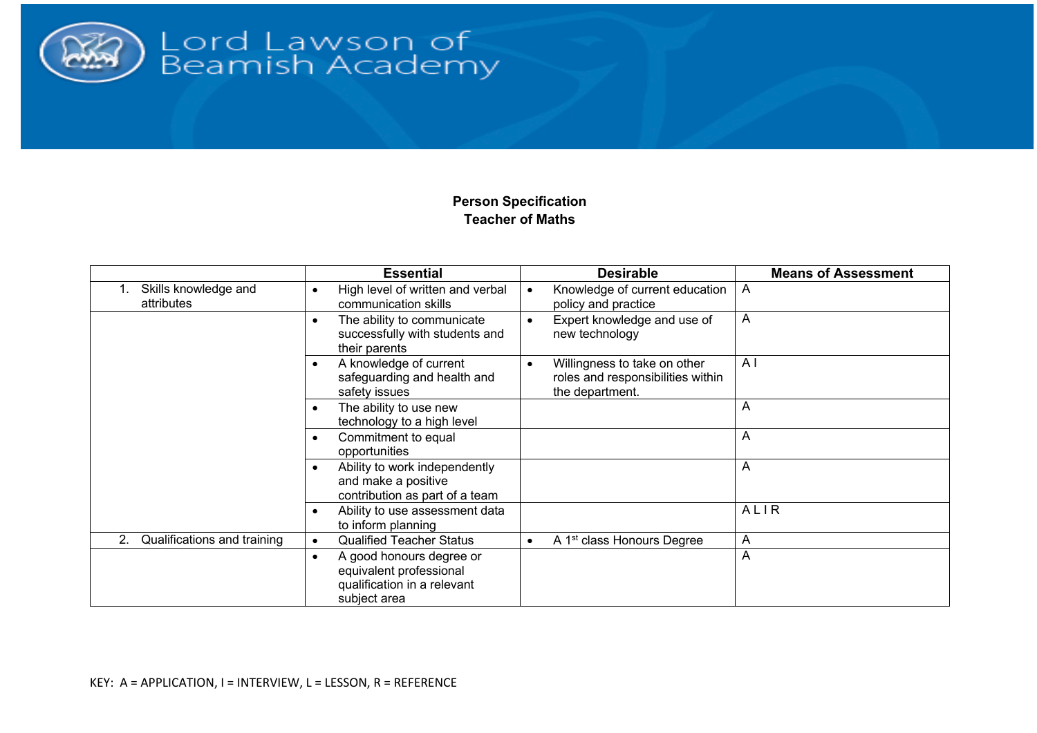

## Lord Lawson of<br>Beamish Academy

## **Person Specification Teacher of Maths**

|                                    | <b>Essential</b>                                                                                                | <b>Desirable</b>                                                                                  | <b>Means of Assessment</b> |
|------------------------------------|-----------------------------------------------------------------------------------------------------------------|---------------------------------------------------------------------------------------------------|----------------------------|
| Skills knowledge and<br>attributes | High level of written and verbal<br>$\bullet$<br>communication skills                                           | Knowledge of current education<br>$\bullet$<br>policy and practice                                | A                          |
|                                    | The ability to communicate<br>$\bullet$<br>successfully with students and<br>their parents                      | Expert knowledge and use of<br>$\bullet$<br>new technology                                        | A                          |
|                                    | A knowledge of current<br>$\bullet$<br>safeguarding and health and<br>safety issues                             | Willingness to take on other<br>$\bullet$<br>roles and responsibilities within<br>the department. | A <sub>1</sub>             |
|                                    | The ability to use new<br>$\bullet$<br>technology to a high level                                               |                                                                                                   | A                          |
|                                    | Commitment to equal<br>٠<br>opportunities                                                                       |                                                                                                   | A                          |
|                                    | Ability to work independently<br>$\bullet$<br>and make a positive<br>contribution as part of a team             |                                                                                                   | Α                          |
|                                    | Ability to use assessment data<br>$\bullet$<br>to inform planning                                               |                                                                                                   | ALIR                       |
| 2.<br>Qualifications and training  | <b>Qualified Teacher Status</b><br>$\bullet$                                                                    | A 1 <sup>st</sup> class Honours Degree<br>$\bullet$                                               | A                          |
|                                    | A good honours degree or<br>$\bullet$<br>equivalent professional<br>qualification in a relevant<br>subject area |                                                                                                   | A                          |